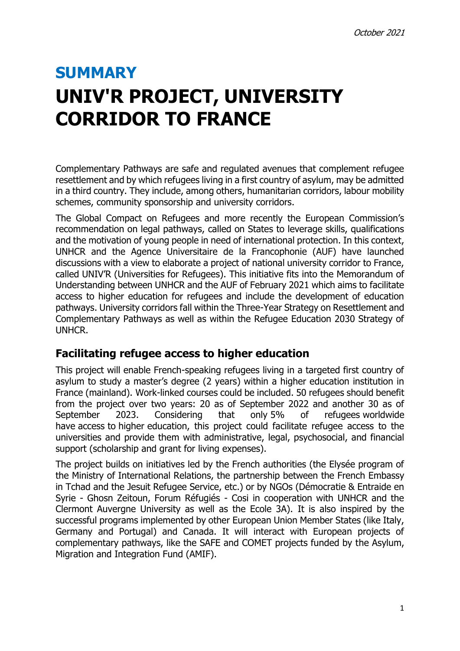## **SUMMARY UNIV'R PROJECT, UNIVERSITY CORRIDOR TO FRANCE**

Complementary Pathways are safe and regulated avenues that complement refugee resettlement and by which refugees living in a first country of asylum, may be admitted in a third country. They include, among others, humanitarian corridors, labour mobility schemes, community sponsorship and university corridors.

The Global Compact on Refugees and more recently the European Commission's recommendation on legal pathways, called on States to leverage skills, qualifications and the motivation of young people in need of international protection. In this context, UNHCR and the Agence Universitaire de la Francophonie (AUF) have launched discussions with a view to elaborate a project of national university corridor to France, called UNIV'R (Universities for Refugees). This initiative fits into the Memorandum of Understanding between UNHCR and the AUF of February 2021 which aims to facilitate access to higher education for refugees and include the development of education pathways. University corridors fall within the Three-Year Strategy on Resettlement and Complementary Pathways as well as within the Refugee Education 2030 Strategy of UNHCR.

## **Facilitating refugee access to higher education**

This project will enable French-speaking refugees living in a targeted first country of asylum to study a master's degree (2 years) within a higher education institution in France (mainland). Work-linked courses could be included. 50 refugees should benefit from the project over two years: 20 as of September 2022 and another 30 as of September 2023. Considering that only 5% of refugees worldwide have access to higher education, this project could facilitate refugee access to the universities and provide them with administrative, legal, psychosocial, and financial support (scholarship and grant for living expenses).

The project builds on initiatives led by the French authorities (the Elysée program of the Ministry of International Relations, the partnership between the French Embassy in Tchad and the Jesuit Refugee Service, etc.) or by NGOs (Démocratie & Entraide en Syrie - Ghosn Zeitoun, Forum Réfugiés - Cosi in cooperation with UNHCR and the Clermont Auvergne University as well as the Ecole 3A). It is also inspired by the successful programs implemented by other European Union Member States (like Italy, Germany and Portugal) and Canada. It will interact with European projects of complementary pathways, like the SAFE and COMET projects funded by the Asylum, Migration and Integration Fund (AMIF).